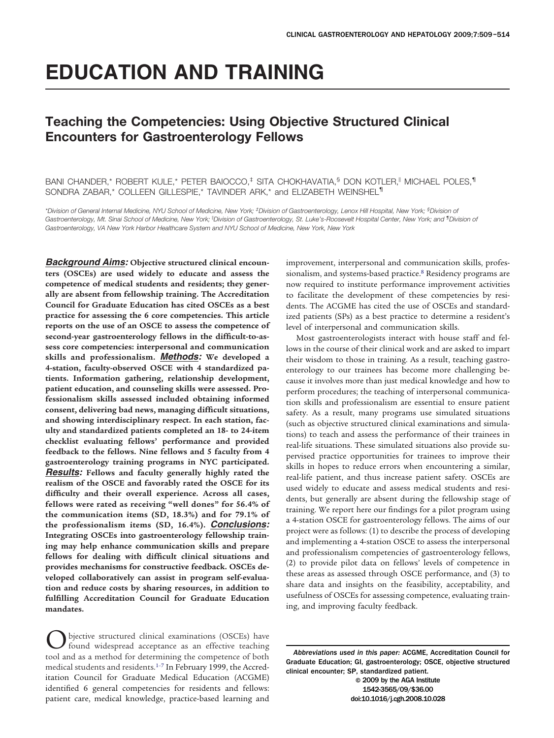# **EDUCATION AND TRAINING**

# **Teaching the Competencies: Using Objective Structured Clinical Encounters for Gastroenterology Fellows**

BANI CHANDER,\* ROBERT KULE,\* PETER BAIOCCO,<sup>‡</sup> SITA CHOKHAVATIA,<sup>§</sup> DON KOTLER,<sup>II</sup> MICHAEL POLES,<sup>11</sup> SONDRA ZABAR,\* COLLEEN GILLESPIE,\* TAVINDER ARK,\* and ELIZABETH WEINSHEL<sup>11</sup>

*\*Division of General Internal Medicine, NYU School of Medicine, New York; ‡ Division of Gastroenterology, Lenox Hill Hospital, New York; § Division of* Gastroenterology, Mt. Sinai School of Medicine, New York; <sup>I</sup>IDivision of Gastroenterology, St. Luke's-Roosevelt Hospital Center, New York; and <sup>11</sup>Division of *Gastroenterology, VA New York Harbor Healthcare System and NYU School of Medicine, New York, New York*

*Background Aims:* **Objective structured clinical encounters (OSCEs) are used widely to educate and assess the competence of medical students and residents; they generally are absent from fellowship training. The Accreditation Council for Graduate Education has cited OSCEs as a best practice for assessing the 6 core competencies. This article reports on the use of an OSCE to assess the competence of second-year gastroenterology fellows in the difficult-to-assess core competencies: interpersonal and communication skills and professionalism.** *Methods:* **We developed a 4-station, faculty-observed OSCE with 4 standardized patients. Information gathering, relationship development, patient education, and counseling skills were assessed. Professionalism skills assessed included obtaining informed consent, delivering bad news, managing difficult situations, and showing interdisciplinary respect. In each station, faculty and standardized patients completed an 18- to 24-item checklist evaluating fellows' performance and provided feedback to the fellows. Nine fellows and 5 faculty from 4 gastroenterology training programs in NYC participated.** *Results:* **Fellows and faculty generally highly rated the realism of the OSCE and favorably rated the OSCE for its difficulty and their overall experience. Across all cases, fellows were rated as receiving "well dones" for 56.4% of the communication items (SD, 18.3%) and for 79.1% of the professionalism items (SD, 16.4%).** *Conclusions:* **Integrating OSCEs into gastroenterology fellowship training may help enhance communication skills and prepare fellows for dealing with difficult clinical situations and provides mechanisms for constructive feedback. OSCEs developed collaboratively can assist in program self-evaluation and reduce costs by sharing resources, in addition to fulfilling Accreditation Council for Graduate Education mandates.**

O bjective structured clinical examinations (OSCEs) have<br>found widespread acceptance as an effective teaching<br>teachers and as a method for determining the compatings of bath tool and as a method for determining the competence of both medical students and residents.1–7 In February 1999, the Accreditation Council for Graduate Medical Education (ACGME) identified 6 general competencies for residents and fellows: patient care, medical knowledge, practice-based learning and

improvement, interpersonal and communication skills, professionalism, and systems-based practice.<sup>8</sup> Residency programs are now required to institute performance improvement activities to facilitate the development of these competencies by residents. The ACGME has cited the use of OSCEs and standardized patients (SPs) as a best practice to determine a resident's level of interpersonal and communication skills.

Most gastroenterologists interact with house staff and fellows in the course of their clinical work and are asked to impart their wisdom to those in training. As a result, teaching gastroenterology to our trainees has become more challenging because it involves more than just medical knowledge and how to perform procedures; the teaching of interpersonal communication skills and professionalism are essential to ensure patient safety. As a result, many programs use simulated situations (such as objective structured clinical examinations and simulations) to teach and assess the performance of their trainees in real-life situations. These simulated situations also provide supervised practice opportunities for trainees to improve their skills in hopes to reduce errors when encountering a similar, real-life patient, and thus increase patient safety. OSCEs are used widely to educate and assess medical students and residents, but generally are absent during the fellowship stage of training. We report here our findings for a pilot program using a 4-station OSCE for gastroenterology fellows. The aims of our project were as follows: (1) to describe the process of developing and implementing a 4-station OSCE to assess the interpersonal and professionalism competencies of gastroenterology fellows, (2) to provide pilot data on fellows' levels of competence in these areas as assessed through OSCE performance, and (3) to share data and insights on the feasibility, acceptability, and usefulness of OSCEs for assessing competence, evaluating training, and improving faculty feedback.

© 2009 by the AGA Institute 1542-3565/09/\$36.00 doi:10.1016/j.cgh.2008.10.028

*Abbreviations used in this paper:* ACGME, Accreditation Council for Graduate Education; GI, gastroenterology; OSCE, objective structured clinical encounter; SP, standardized patient.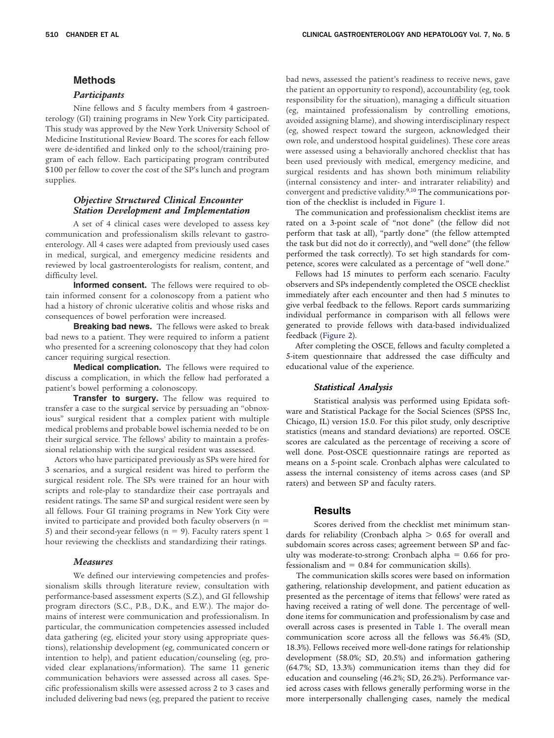# **Methods**

## *Participants*

Nine fellows and 5 faculty members from 4 gastroenterology (GI) training programs in New York City participated. This study was approved by the New York University School of Medicine Institutional Review Board. The scores for each fellow were de-identified and linked only to the school/training program of each fellow. Each participating program contributed \$100 per fellow to cover the cost of the SP's lunch and program supplies.

# *Objective Structured Clinical Encounter Station Development and Implementation*

A set of 4 clinical cases were developed to assess key communication and professionalism skills relevant to gastroenterology. All 4 cases were adapted from previously used cases in medical, surgical, and emergency medicine residents and reviewed by local gastroenterologists for realism, content, and difficulty level.

**Informed consent.** The fellows were required to obtain informed consent for a colonoscopy from a patient who had a history of chronic ulcerative colitis and whose risks and consequences of bowel perforation were increased.

**Breaking bad news.** The fellows were asked to break bad news to a patient. They were required to inform a patient who presented for a screening colonoscopy that they had colon cancer requiring surgical resection.

**Medical complication.** The fellows were required to discuss a complication, in which the fellow had perforated a patient's bowel performing a colonoscopy.

**Transfer to surgery.** The fellow was required to transfer a case to the surgical service by persuading an "obnoxious" surgical resident that a complex patient with multiple medical problems and probable bowel ischemia needed to be on their surgical service. The fellows' ability to maintain a professional relationship with the surgical resident was assessed.

Actors who have participated previously as SPs were hired for 3 scenarios, and a surgical resident was hired to perform the surgical resident role. The SPs were trained for an hour with scripts and role-play to standardize their case portrayals and resident ratings. The same SP and surgical resident were seen by all fellows. Four GI training programs in New York City were invited to participate and provided both faculty observers ( $n =$ 5) and their second-year fellows ( $n = 9$ ). Faculty raters spent 1 hour reviewing the checklists and standardizing their ratings.

# *Measures*

We defined our interviewing competencies and professionalism skills through literature review, consultation with performance-based assessment experts (S.Z.), and GI fellowship program directors (S.C., P.B., D.K., and E.W.). The major domains of interest were communication and professionalism. In particular, the communication competencies assessed included data gathering (eg, elicited your story using appropriate questions), relationship development (eg, communicated concern or intention to help), and patient education/counseling (eg, provided clear explanations/information). The same 11 generic communication behaviors were assessed across all cases. Specific professionalism skills were assessed across 2 to 3 cases and included delivering bad news (eg, prepared the patient to receive

bad news, assessed the patient's readiness to receive news, gave the patient an opportunity to respond), accountability (eg, took responsibility for the situation), managing a difficult situation (eg, maintained professionalism by controlling emotions, avoided assigning blame), and showing interdisciplinary respect (eg, showed respect toward the surgeon, acknowledged their own role, and understood hospital guidelines). These core areas were assessed using a behaviorally anchored checklist that has been used previously with medical, emergency medicine, and surgical residents and has shown both minimum reliability (internal consistency and inter- and intrarater reliability) and convergent and predictive validity.9,10 The communications portion of the checklist is included in Figure 1.

The communication and professionalism checklist items are rated on a 3-point scale of "not done" (the fellow did not perform that task at all), "partly done" (the fellow attempted the task but did not do it correctly), and "well done" (the fellow performed the task correctly). To set high standards for competence, scores were calculated as a percentage of "well done."

Fellows had 15 minutes to perform each scenario. Faculty observers and SPs independently completed the OSCE checklist immediately after each encounter and then had 5 minutes to give verbal feedback to the fellows. Report cards summarizing individual performance in comparison with all fellows were generated to provide fellows with data-based individualized feedback (Figure 2).

After completing the OSCE, fellows and faculty completed a 5-item questionnaire that addressed the case difficulty and educational value of the experience.

# *Statistical Analysis*

Statistical analysis was performed using Epidata software and Statistical Package for the Social Sciences (SPSS Inc, Chicago, IL) version 15.0. For this pilot study, only descriptive statistics (means and standard deviations) are reported. OSCE scores are calculated as the percentage of receiving a score of well done. Post-OSCE questionnaire ratings are reported as means on a 5-point scale. Cronbach alphas were calculated to assess the internal consistency of items across cases (and SP raters) and between SP and faculty raters.

# **Results**

Scores derived from the checklist met minimum standards for reliability (Cronbach alpha  $> 0.65$  for overall and subdomain scores across cases; agreement between SP and faculty was moderate-to-strong: Cronbach alpha  $= 0.66$  for professionalism and  $= 0.84$  for communication skills).

The communication skills scores were based on information gathering, relationship development, and patient education as presented as the percentage of items that fellows' were rated as having received a rating of well done. The percentage of welldone items for communication and professionalism by case and overall across cases is presented in Table 1. The overall mean communication score across all the fellows was 56.4% (SD, 18.3%). Fellows received more well-done ratings for relationship development (58.0%; SD, 20.5%) and information gathering (64.7%; SD, 13.3%) communication items than they did for education and counseling (46.2%; SD, 26.2%). Performance varied across cases with fellows generally performing worse in the more interpersonally challenging cases, namely the medical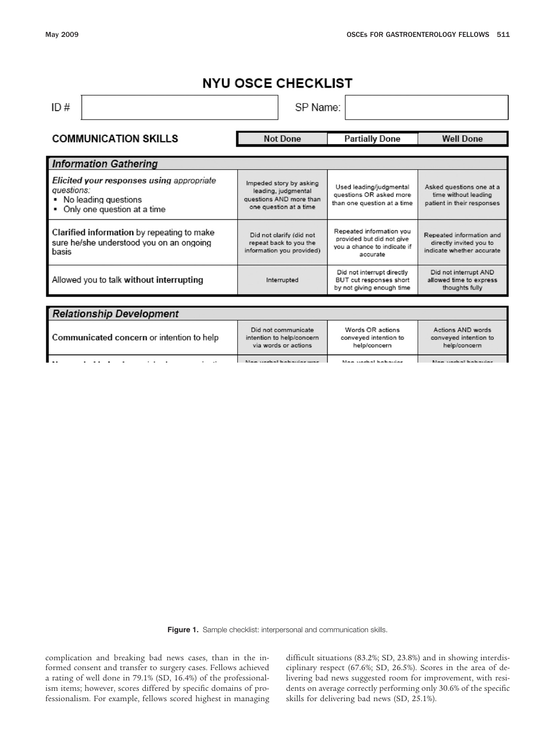Figure 1. Sample checklist: interpersonal and communication skills.

complication and breaking bad news cases, than in the informed consent and transfer to surgery cases. Fellows achieved a rating of well done in 79.1% (SD, 16.4%) of the professionalism items; however, scores differed by specific domains of professionalism. For example, fellows scored highest in managing

difficult situations (83.2%; SD, 23.8%) and in showing interdisciplinary respect (67.6%; SD, 26.5%). Scores in the area of delivering bad news suggested room for improvement, with residents on average correctly performing only 30.6% of the specific skills for delivering bad news (SD, 25.1%).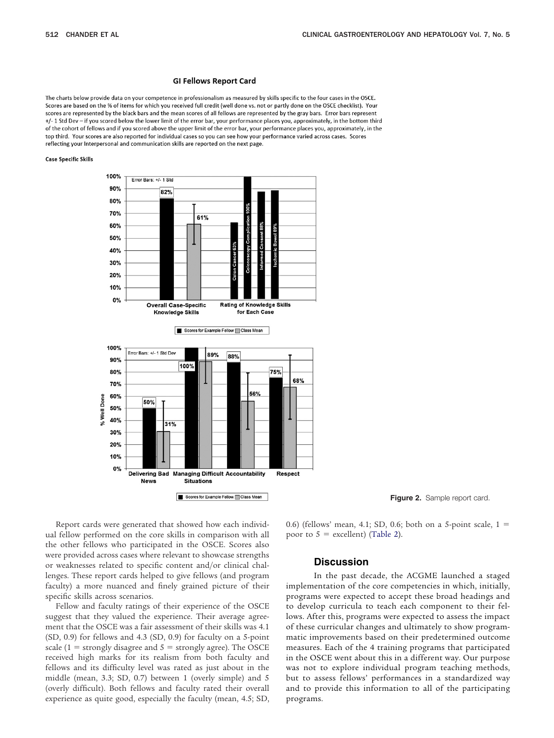#### **GI Fellows Report Card**

The charts below provide data on your competence in professionalism as measured by skills specific to the four cases in the OSCE. Scores are based on the % of items for which you received full credit (well done vs. not or partly done on the OSCE checklist). Your scores are represented by the black bars and the mean scores of all fellows are represented by the gray bars. Error bars represent +/-1 Std Dev - if you scored below the lower limit of the error bar, your performance places you, approximately, in the bottom third of the cohort of fellows and if you scored above the upper limit of the error bar, your performance places you, approximately, in the top third. Your scores are also reported for individual cases so you can see how your performance varied across cases. Scores reflecting your Interpersonal and communication skills are reported on the next page.

#### **Case Specific Skills**



**Figure 2.** Sample report card.

Report cards were generated that showed how each individual fellow performed on the core skills in comparison with all the other fellows who participated in the OSCE. Scores also were provided across cases where relevant to showcase strengths or weaknesses related to specific content and/or clinical challenges. These report cards helped to give fellows (and program faculty) a more nuanced and finely grained picture of their specific skills across scenarios.

Fellow and faculty ratings of their experience of the OSCE suggest that they valued the experience. Their average agreement that the OSCE was a fair assessment of their skills was 4.1 (SD, 0.9) for fellows and 4.3 (SD, 0.9) for faculty on a 5-point scale ( $1 =$  strongly disagree and  $5 =$  strongly agree). The OSCE received high marks for its realism from both faculty and fellows and its difficulty level was rated as just about in the middle (mean, 3.3; SD, 0.7) between 1 (overly simple) and 5 (overly difficult). Both fellows and faculty rated their overall experience as quite good, especially the faculty (mean, 4.5; SD, 0.6) (fellows' mean, 4.1; SD, 0.6; both on a 5-point scale,  $1 =$ poor to  $5 =$  excellent) (Table 2).

# **Discussion**

In the past decade, the ACGME launched a staged implementation of the core competencies in which, initially, programs were expected to accept these broad headings and to develop curricula to teach each component to their fellows. After this, programs were expected to assess the impact of these curricular changes and ultimately to show programmatic improvements based on their predetermined outcome measures. Each of the 4 training programs that participated in the OSCE went about this in a different way. Our purpose was not to explore individual program teaching methods, but to assess fellows' performances in a standardized way and to provide this information to all of the participating programs.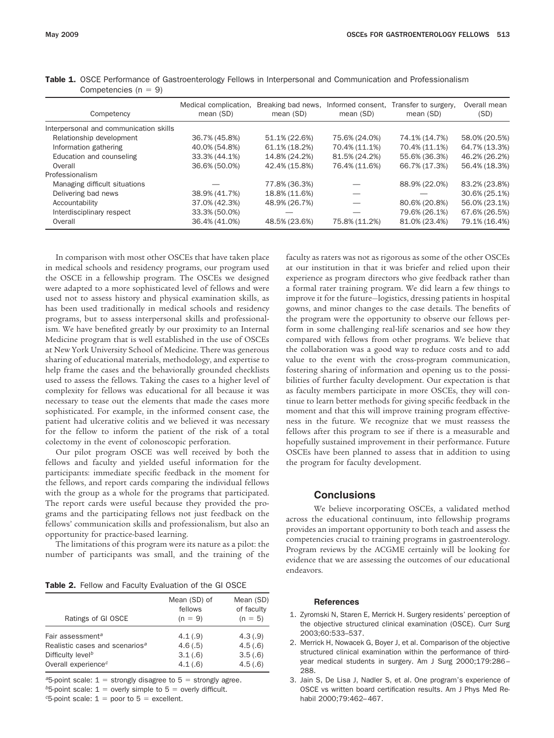| Competency                             | Medical complication,<br>mean (SD) | Breaking bad news.<br>mean (SD) | Informed consent.<br>mean (SD) | Transfer to surgery.<br>mean (SD) | Overall mean<br>(SD) |
|----------------------------------------|------------------------------------|---------------------------------|--------------------------------|-----------------------------------|----------------------|
| Interpersonal and communication skills |                                    |                                 |                                |                                   |                      |
| Relationship development               | 36.7% (45.8%)                      | 51.1% (22.6%)                   | 75.6% (24.0%)                  | 74.1% (14.7%)                     | 58.0% (20.5%)        |
| Information gathering                  | 40.0% (54.8%)                      | 61.1% (18.2%)                   | 70.4% (11.1%)                  | 70.4% (11.1%)                     | 64.7% (13.3%)        |
| Education and counseling               | 33.3% (44.1%)                      | 14.8% (24.2%)                   | 81.5% (24.2%)                  | 55.6% (36.3%)                     | 46.2% (26.2%)        |
| Overall                                | 36.6% (50.0%)                      | 42.4% (15.8%)                   | 76.4% (11.6%)                  | 66.7% (17.3%)                     | 56.4% (18.3%)        |
| Professionalism                        |                                    |                                 |                                |                                   |                      |
| Managing difficult situations          |                                    | 77.8% (36.3%)                   |                                | 88.9% (22.0%)                     | 83.2% (23.8%)        |
| Delivering bad news                    | 38.9% (41.7%)                      | 18.8% (11.6%)                   |                                |                                   | 30.6% (25.1%)        |
| Accountability                         | 37.0% (42.3%)                      | 48.9% (26.7%)                   |                                | 80.6% (20.8%)                     | 56.0% (23.1%)        |
| Interdisciplinary respect              | 33.3% (50.0%)                      |                                 |                                | 79.6% (26.1%)                     | 67.6% (26.5%)        |
| Overall                                | 36.4% (41.0%)                      | 48.5% (23.6%)                   | 75.8% (11.2%)                  | 81.0% (23.4%)                     | 79.1% (16.4%)        |

Table 1. OSCE Performance of Gastroenterology Fellows in Interpersonal and Communication and Professionalism Competencies ( $n = 9$ )

In comparison with most other OSCEs that have taken place in medical schools and residency programs, our program used the OSCE in a fellowship program. The OSCEs we designed were adapted to a more sophisticated level of fellows and were used not to assess history and physical examination skills, as has been used traditionally in medical schools and residency programs, but to assess interpersonal skills and professionalism. We have benefited greatly by our proximity to an Internal Medicine program that is well established in the use of OSCEs at New York University School of Medicine. There was generous sharing of educational materials, methodology, and expertise to help frame the cases and the behaviorally grounded checklists used to assess the fellows. Taking the cases to a higher level of complexity for fellows was educational for all because it was necessary to tease out the elements that made the cases more sophisticated. For example, in the informed consent case, the patient had ulcerative colitis and we believed it was necessary for the fellow to inform the patient of the risk of a total colectomy in the event of colonoscopic perforation.

Our pilot program OSCE was well received by both the fellows and faculty and yielded useful information for the participants: immediate specific feedback in the moment for the fellows, and report cards comparing the individual fellows with the group as a whole for the programs that participated. The report cards were useful because they provided the programs and the participating fellows not just feedback on the fellows' communication skills and professionalism, but also an opportunity for practice-based learning.

The limitations of this program were its nature as a pilot: the number of participants was small, and the training of the

Table 2. Fellow and Faculty Evaluation of the GI OSCE

| Ratings of GI OSCE                         | Mean (SD) of<br>fellows<br>$(n = 9)$ | Mean (SD)<br>of faculty<br>$(n = 5)$ |
|--------------------------------------------|--------------------------------------|--------------------------------------|
| Fair assessment <sup>a</sup>               | 4.1(.9)                              | 4.3(.9)                              |
| Realistic cases and scenarios <sup>a</sup> | 4.6(.5)                              | 4.5(.6)                              |
| Difficulty level <sup>b</sup>              | 3.1(.6)                              | 3.5(.6)                              |
| Overall experience <sup>c</sup>            | 4.1(.6)                              | 4.5(.6)                              |

 $a$ 5-point scale:  $1 =$  strongly disagree to  $5 =$  strongly agree.

*b*5-point scale:  $1 =$  overly simple to  $5 =$  overly difficult.

*c*5-point scale:  $1 =$  poor to  $5 =$  excellent.

faculty as raters was not as rigorous as some of the other OSCEs at our institution in that it was briefer and relied upon their experience as program directors who give feedback rather than a formal rater training program. We did learn a few things to improve it for the future—logistics, dressing patients in hospital gowns, and minor changes to the case details. The benefits of the program were the opportunity to observe our fellows perform in some challenging real-life scenarios and see how they compared with fellows from other programs. We believe that the collaboration was a good way to reduce costs and to add value to the event with the cross-program communication, fostering sharing of information and opening us to the possibilities of further faculty development. Our expectation is that as faculty members participate in more OSCEs, they will continue to learn better methods for giving specific feedback in the moment and that this will improve training program effectiveness in the future. We recognize that we must reassess the fellows after this program to see if there is a measurable and hopefully sustained improvement in their performance. Future OSCEs have been planned to assess that in addition to using the program for faculty development.

# **Conclusions**

We believe incorporating OSCEs, a validated method across the educational continuum, into fellowship programs provides an important opportunity to both teach and assess the competencies crucial to training programs in gastroenterology. Program reviews by the ACGME certainly will be looking for evidence that we are assessing the outcomes of our educational endeavors.

# **References**

- 1. Zyromski N, Staren E, Merrick H. Surgery residents' perception of the objective structured clinical examination (OSCE). Curr Surg 2003;60:533–537.
- 2. Merrick H, Nowacek G, Boyer J, et al. Comparison of the objective structured clinical examination within the performance of thirdyear medical students in surgery. Am J Surg 2000;179:286– 288.
- 3. Jain S, De Lisa J, Nadler S, et al. One program's experience of OSCE vs written board certification results. Am J Phys Med Rehabil 2000;79:462–467.